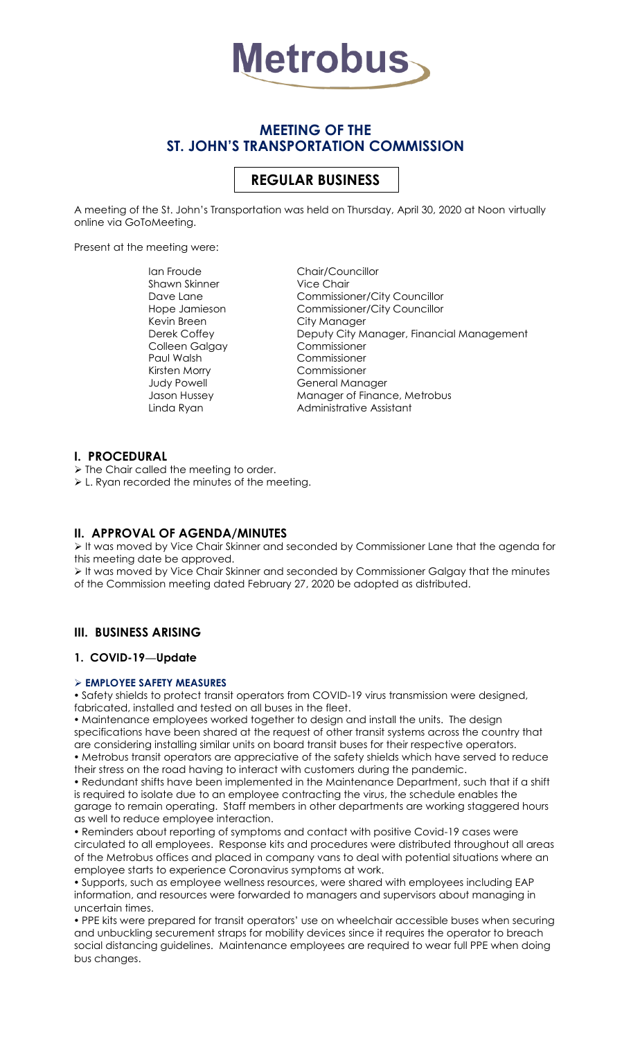

# **MEETING OF THE ST. JOHN'S TRANSPORTATION COMMISSION**

# **REGULAR BUSINESS**

A meeting of the St. John's Transportation was held on Thursday, April 30, 2020 at Noon virtually online via GoToMeeting.

Present at the meeting were:

Ian Froude Chair/Councillor Shawn Skinner Vice Chair Kevin Breen City Manager Colleen Galgay Commissioner Paul Walsh Commissioner Kirsten Morry Commissioner

Dave Lane Commissioner/City Councillor Hope Jamieson Commissioner/City Councillor Derek Coffey **Deputy City Manager, Financial Management** Judy Powell **General Manager** Jason Hussey Manager of Finance, Metrobus Linda Ryan **Administrative Assistant** 

### **I. PROCEDURAL**

 $\triangleright$  The Chair called the meeting to order.

L. Ryan recorded the minutes of the meeting.

### **II. APPROVAL OF AGENDA/MINUTES**

It was moved by Vice Chair Skinner and seconded by Commissioner Lane that the agenda for this meeting date be approved.

 It was moved by Vice Chair Skinner and seconded by Commissioner Galgay that the minutes of the Commission meeting dated February 27, 2020 be adopted as distributed.

### **III. BUSINESS ARISING**

### **1. COVID-19—Update**

#### **EMPLOYEE SAFETY MEASURES**

 Safety shields to protect transit operators from COVID-19 virus transmission were designed, fabricated, installed and tested on all buses in the fleet.

 Maintenance employees worked together to design and install the units. The design specifications have been shared at the request of other transit systems across the country that are considering installing similar units on board transit buses for their respective operators. Metrobus transit operators are appreciative of the safety shields which have served to reduce their stress on the road having to interact with customers during the pandemic.

 Redundant shifts have been implemented in the Maintenance Department, such that if a shift is required to isolate due to an employee contracting the virus, the schedule enables the garage to remain operating. Staff members in other departments are working staggered hours as well to reduce employee interaction.

 Reminders about reporting of symptoms and contact with positive Covid-19 cases were circulated to all employees. Response kits and procedures were distributed throughout all areas of the Metrobus offices and placed in company vans to deal with potential situations where an employee starts to experience Coronavirus symptoms at work.

 Supports, such as employee wellness resources, were shared with employees including EAP information, and resources were forwarded to managers and supervisors about managing in uncertain times.

 PPE kits were prepared for transit operators' use on wheelchair accessible buses when securing and unbuckling securement straps for mobility devices since it requires the operator to breach social distancing guidelines. Maintenance employees are required to wear full PPE when doing bus changes.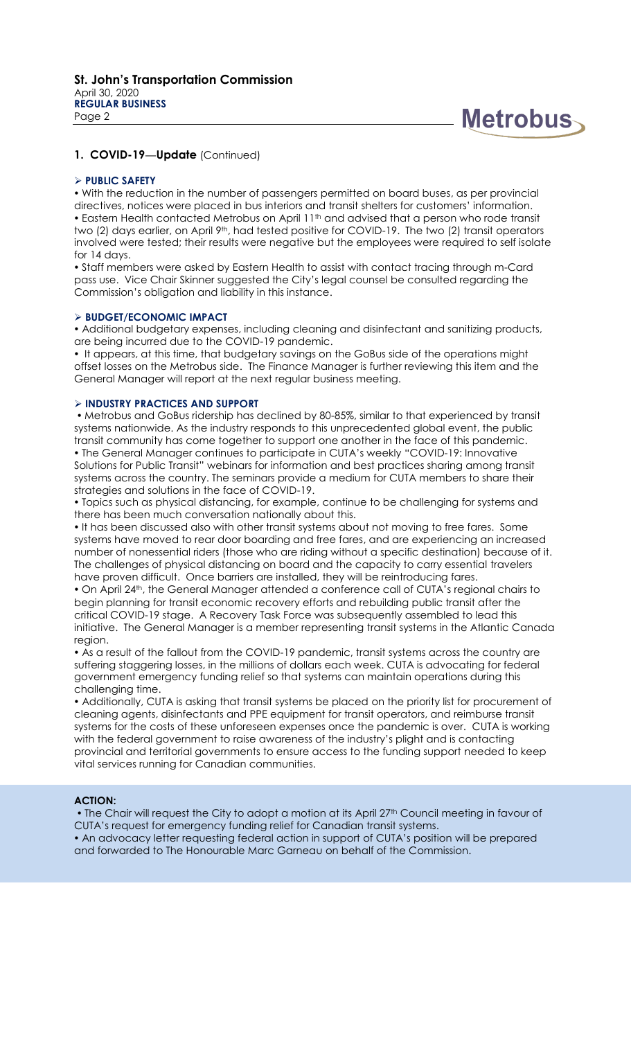

### **1. COVID-19—Update** (Continued)

#### **PUBLIC SAFETY**

 With the reduction in the number of passengers permitted on board buses, as per provincial directives, notices were placed in bus interiors and transit shelters for customers' information. • Eastern Health contacted Metrobus on April 11<sup>th</sup> and advised that a person who rode transit two (2) days earlier, on April 9th, had tested positive for COVID-19. The two (2) transit operators involved were tested; their results were negative but the employees were required to self isolate for 14 days.

 Staff members were asked by Eastern Health to assist with contact tracing through m-Card pass use. Vice Chair Skinner suggested the City's legal counsel be consulted regarding the Commission's obligation and liability in this instance.

#### **BUDGET/ECONOMIC IMPACT**

 Additional budgetary expenses, including cleaning and disinfectant and sanitizing products, are being incurred due to the COVID-19 pandemic.

• It appears, at this time, that budgetary savings on the GoBus side of the operations might offset losses on the Metrobus side. The Finance Manager is further reviewing this item and the General Manager will report at the next regular business meeting.

#### **INDUSTRY PRACTICES AND SUPPORT**

 Metrobus and GoBus ridership has declined by 80-85%, similar to that experienced by transit systems nationwide. As the industry responds to this unprecedented global event, the public transit community has come together to support one another in the face of this pandemic. The General Manager continues to participate in CUTA's weekly "COVID-19: Innovative Solutions for Public Transit" webinars for information and best practices sharing among transit systems across the country. The seminars provide a medium for CUTA members to share their strategies and solutions in the face of COVID-19.

 Topics such as physical distancing, for example, continue to be challenging for systems and there has been much conversation nationally about this.

 It has been discussed also with other transit systems about not moving to free fares. Some systems have moved to rear door boarding and free fares, and are experiencing an increased number of nonessential riders (those who are riding without a specific destination) because of it. The challenges of physical distancing on board and the capacity to carry essential travelers have proven difficult. Once barriers are installed, they will be reintroducing fares.

 On April 24th, the General Manager attended a conference call of CUTA's regional chairs to begin planning for transit economic recovery efforts and rebuilding public transit after the critical COVID-19 stage. A Recovery Task Force was subsequently assembled to lead this initiative. The General Manager is a member representing transit systems in the Atlantic Canada region.

 As a result of the fallout from the COVID-19 pandemic, transit systems across the country are suffering staggering losses, in the millions of dollars each week. CUTA is advocating for federal government emergency funding relief so that systems can maintain operations during this challenging time.

 Additionally, CUTA is asking that transit systems be placed on the priority list for procurement of cleaning agents, disinfectants and PPE equipment for transit operators, and reimburse transit systems for the costs of these unforeseen expenses once the pandemic is over. CUTA is working with the federal government to raise awareness of the industry's plight and is contacting provincial and territorial governments to ensure access to the funding support needed to keep vital services running for Canadian communities.

#### **ACTION:**

• The Chair will request the City to adopt a motion at its April 27<sup>th</sup> Council meeting in favour of CUTA's request for emergency funding relief for Canadian transit systems.

 An advocacy letter requesting federal action in support of CUTA's position will be prepared and forwarded to The Honourable Marc Garneau on behalf of the Commission.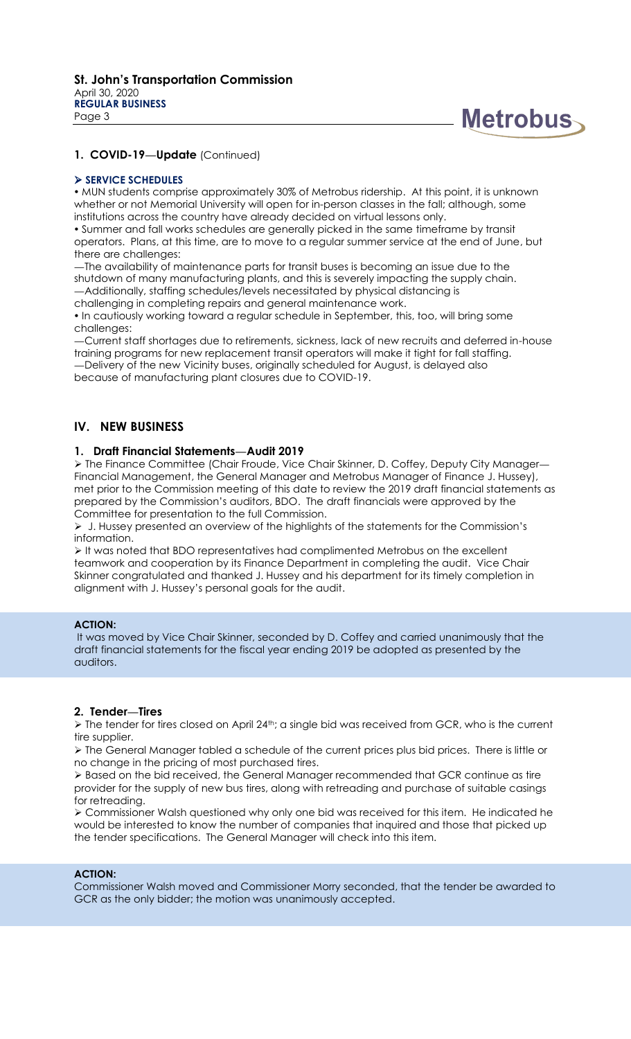

### **1. COVID-19—Update** (Continued)

#### **SERVICE SCHEDULES**

 MUN students comprise approximately 30% of Metrobus ridership. At this point, it is unknown whether or not Memorial University will open for in-person classes in the fall; although, some institutions across the country have already decided on virtual lessons only.

 Summer and fall works schedules are generally picked in the same timeframe by transit operators. Plans, at this time, are to move to a regular summer service at the end of June, but there are challenges:

—The availability of maintenance parts for transit buses is becoming an issue due to the shutdown of many manufacturing plants, and this is severely impacting the supply chain.

—Additionally, staffing schedules/levels necessitated by physical distancing is

challenging in completing repairs and general maintenance work.

. In cautiously working toward a regular schedule in September, this, too, will bring some challenges:

—Current staff shortages due to retirements, sickness, lack of new recruits and deferred in-house training programs for new replacement transit operators will make it tight for fall staffing. —Delivery of the new Vicinity buses, originally scheduled for August, is delayed also because of manufacturing plant closures due to COVID-19.

**IV. NEW BUSINESS**

#### **1. Draft Financial Statements—Audit 2019**

> The Finance Committee (Chair Froude, Vice Chair Skinner, D. Coffey, Deputy City Manager-Financial Management, the General Manager and Metrobus Manager of Finance J. Hussey), met prior to the Commission meeting of this date to review the 2019 draft financial statements as prepared by the Commission's auditors, BDO. The draft financials were approved by the Committee for presentation to the full Commission.

 $\triangleright$  J. Hussey presented an overview of the highlights of the statements for the Commission's information.

 $\triangleright$  It was noted that BDO representatives had complimented Metrobus on the excellent teamwork and cooperation by its Finance Department in completing the audit. Vice Chair Skinner congratulated and thanked J. Hussey and his department for its timely completion in alignment with J. Hussey's personal goals for the audit.

#### **ACTION:**

It was moved by Vice Chair Skinner, seconded by D. Coffey and carried unanimously that the draft financial statements for the fiscal year ending 2019 be adopted as presented by the auditors.

#### **2. Tender—Tires**

> The tender for tires closed on April 24<sup>th</sup>; a single bid was received from GCR, who is the current tire supplier.

 The General Manager tabled a schedule of the current prices plus bid prices. There is little or no change in the pricing of most purchased tires.

 Based on the bid received, the General Manager recommended that GCR continue as tire provider for the supply of new bus tires, along with retreading and purchase of suitable casings for retreading.

 Commissioner Walsh questioned why only one bid was received for this item. He indicated he would be interested to know the number of companies that inquired and those that picked up the tender specifications. The General Manager will check into this item.

### **ACTION:**

Commissioner Walsh moved and Commissioner Morry seconded, that the tender be awarded to GCR as the only bidder; the motion was unanimously accepted.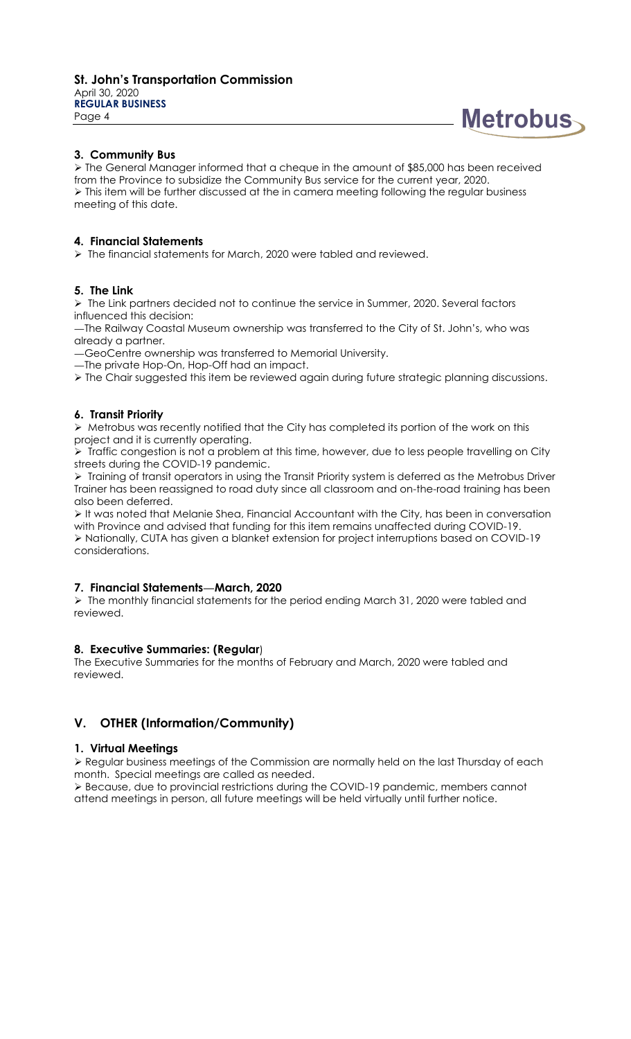

### **3. Community Bus**

 The General Manager informed that a cheque in the amount of \$85,000 has been received from the Province to subsidize the Community Bus service for the current year, 2020. > This item will be further discussed at the in camera meeting following the regular business meeting of this date.

#### **4. Financial Statements**

 $\triangleright$  The financial statements for March, 2020 were tabled and reviewed.

### **5. The Link**

 $\triangleright$  The Link partners decided not to continue the service in Summer, 2020. Several factors influenced this decision:

—The Railway Coastal Museum ownership was transferred to the City of St. John's, who was already a partner.

—GeoCentre ownership was transferred to Memorial University.

—The private Hop-On, Hop-Off had an impact.

The Chair suggested this item be reviewed again during future strategic planning discussions.

### **6. Transit Priority**

 Metrobus was recently notified that the City has completed its portion of the work on this project and it is currently operating.

 $\triangleright$  Traffic congestion is not a problem at this time, however, due to less people travelling on City streets during the COVID-19 pandemic.

 $\triangleright$  Training of transit operators in using the Transit Priority system is deferred as the Metrobus Driver Trainer has been reassigned to road duty since all classroom and on-the-road training has been also been deferred.

 It was noted that Melanie Shea, Financial Accountant with the City, has been in conversation with Province and advised that funding for this item remains unaffected during COVID-19. Nationally, CUTA has given a blanket extension for project interruptions based on COVID-19 considerations.

### **7. Financial Statements—March, 2020**

 The monthly financial statements for the period ending March 31, 2020 were tabled and reviewed.

### **8. Executive Summaries: (Regular**)

The Executive Summaries for the months of February and March, 2020 were tabled and reviewed.

## **V. OTHER (Information/Community)**

#### **1. Virtual Meetings**

 Regular business meetings of the Commission are normally held on the last Thursday of each month. Special meetings are called as needed.

 Because, due to provincial restrictions during the COVID-19 pandemic, members cannot attend meetings in person, all future meetings will be held virtually until further notice.